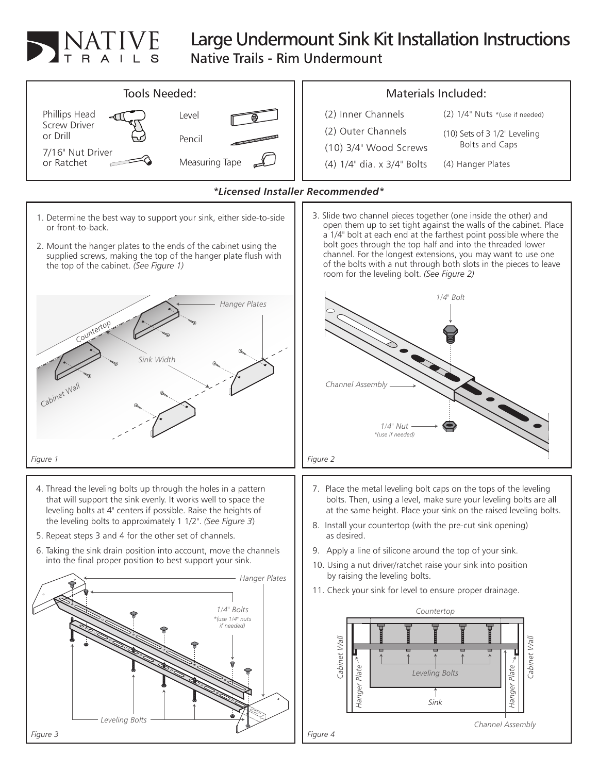

## Large Undermount Sink Kit Installation Instructions

Native Trails - Rim Undermount